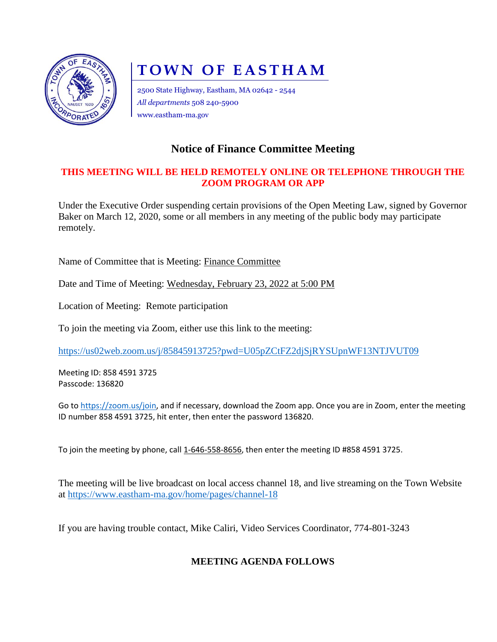

# **TOWN OF EASTHAM**

2500 State Highway, Eastham, MA 02642 - 2544 *All departments* 508 240-5900 www.eastham-ma.gov

## **Notice of Finance Committee Meeting**

#### **THIS MEETING WILL BE HELD REMOTELY ONLINE OR TELEPHONE THROUGH THE ZOOM PROGRAM OR APP**

Under the Executive Order suspending certain provisions of the Open Meeting Law, signed by Governor Baker on March 12, 2020, some or all members in any meeting of the public body may participate remotely.

Name of Committee that is Meeting: Finance Committee

Date and Time of Meeting: Wednesday, February 23, 2022 at 5:00 PM

Location of Meeting: Remote participation

To join the meeting via Zoom, either use this link to the meeting:

<https://us02web.zoom.us/j/85845913725?pwd=U05pZCtFZ2djSjRYSUpnWF13NTJVUT09>

Meeting ID: 858 4591 3725 Passcode: 136820

Go to [https://zoom.us/join,](https://zoom.us/join) and if necessary, download the Zoom app. Once you are in Zoom, enter the meeting ID number 858 4591 3725, hit enter, then enter the password 136820.

To join the meeting by phone, call 1-646-558-8656, then enter the meeting ID #858 4591 3725.

The meeting will be live broadcast on local access channel 18, and live streaming on the Town Website at<https://www.eastham-ma.gov/home/pages/channel-18>

If you are having trouble contact, Mike Caliri, Video Services Coordinator, 774-801-3243

### **MEETING AGENDA FOLLOWS**